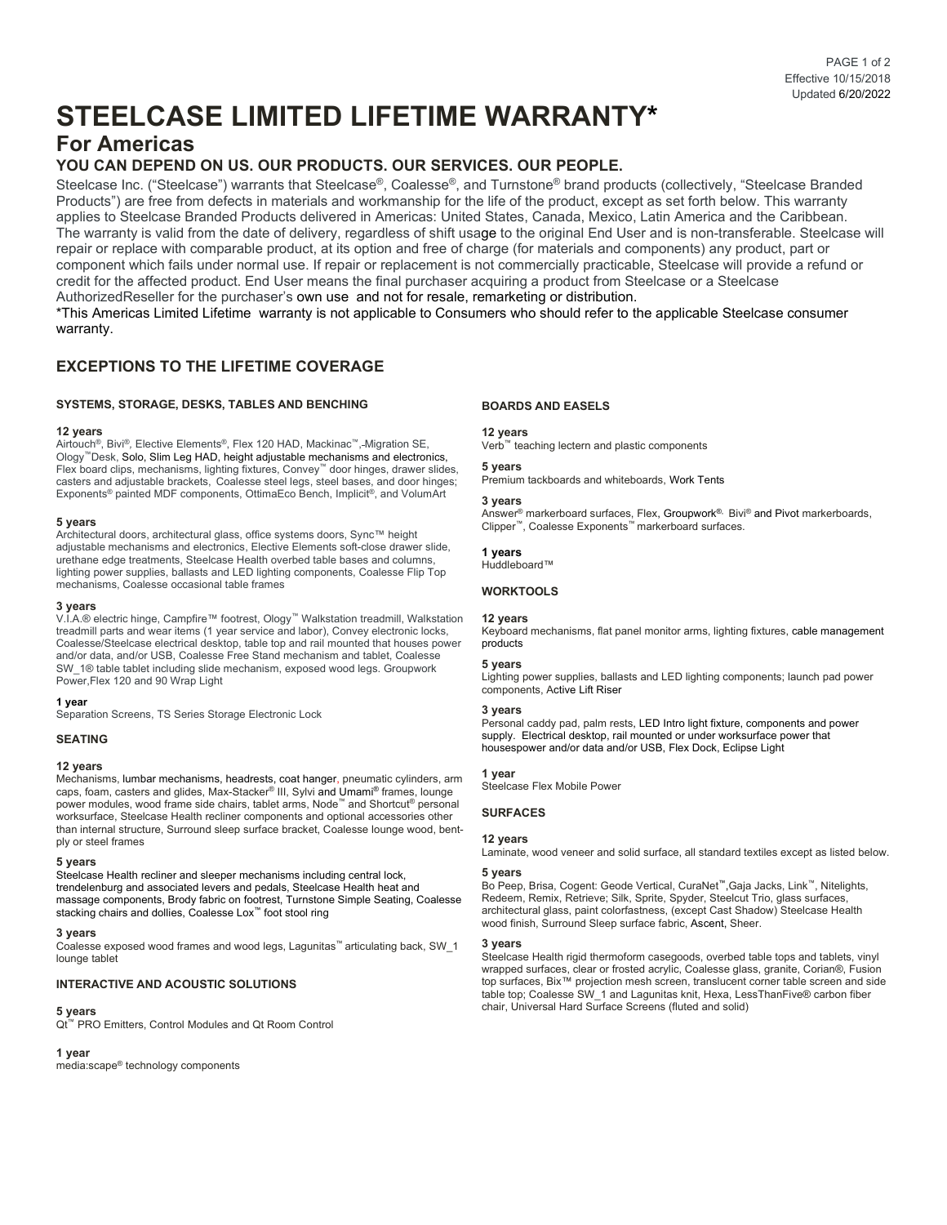# **STEELCASE LIMITED LIFETIME WARRANTY\***

# **For Americas**

# **YOU CAN DEPEND ON US. OUR PRODUCTS. OUR SERVICES. OUR PEOPLE.**

Steelcase Inc. ("Steelcase") warrants that Steelcase®, Coalesse®, and Turnstone® brand products (collectively, "Steelcase Branded Products") are free from defects in materials and workmanship for the life of the product, except as set forth below. This warranty applies to Steelcase Branded Products delivered in Americas: United States, Canada, Mexico, Latin America and the Caribbean. The warranty is valid from the date of delivery, regardless of shift usage to the original End User and is non-transferable. Steelcase will repair or replace with comparable product, at its option and free of charge (for materials and components) any product, part or component which fails under normal use. If repair or replacement is not commercially practicable, Steelcase will provide a refund or credit for the affected product. End User means the final purchaser acquiring a product from Steelcase or a Steelcase AuthorizedReseller for the purchaser's own use and not for resale, remarketing or distribution.

\*This Americas Limited Lifetime warranty is not applicable to Consumers who should refer to the applicable Steelcase consumer warranty.

# **EXCEPTIONS TO THE LIFETIME COVERAGE**

## **SYSTEMS, STORAGE, DESKS, TABLES AND BENCHING**

### **12 years**

Airtouch®, Bivi®*,* Elective Elements®, Flex 120 HAD, Mackinac™, Migration SE, Ology™Desk, Solo, Slim Leg HAD, height adjustable mechanisms and electronics, Flex board clips, mechanisms, lighting fixtures, Convey™ door hinges, drawer slides, casters and adjustable brackets, Coalesse steel legs, steel bases, and door hinges; Exponents® painted MDF components, OttimaEco Bench, Implicit®, and VolumArt

### **5 years**

Architectural doors, architectural glass, office systems doors, Sync™ height adjustable mechanisms and electronics, Elective Elements soft-close drawer slide, urethane edge treatments, Steelcase Health overbed table bases and columns, lighting power supplies, ballasts and LED lighting components, Coalesse Flip Top mechanisms, Coalesse occasional table frames

### **3 years**

V.I.A.® electric hinge, Campfire™ footrest, Ology™ Walkstation treadmill, Walkstation treadmill parts and wear items (1 year service and labor), Convey electronic locks, Coalesse/Steelcase electrical desktop, table top and rail mounted that houses power and/or data, and/or USB, Coalesse Free Stand mechanism and tablet, Coalesse SW\_1® table tablet including slide mechanism, exposed wood legs. Groupwork Power,Flex 120 and 90 Wrap Light

### **1 year**

Separation Screens, TS Series Storage Electronic Lock

### **SEATING**

### **12 years**

Mechanisms, lumbar mechanisms, headrests, coat hanger, pneumatic cylinders, arm caps, foam, casters and glides, Max-Stacker® III, Sylvi and Umami® frames, lounge power modules, wood frame side chairs, tablet arms, Node™ and Shortcut® personal worksurface, Steelcase Health recliner components and optional accessories other than internal structure, Surround sleep surface bracket, Coalesse lounge wood, bentply or steel frames

#### **5 years**

Steelcase Health recliner and sleeper mechanisms including central lock, trendelenburg and associated levers and pedals, Steelcase Health heat and massage components, Brody fabric on footrest, Turnstone Simple Seating, Coalesse stacking chairs and dollies, Coalesse Lox™ foot stool ring

#### **3 years**

Coalesse exposed wood frames and wood legs, Lagunitas™ articulating back, SW\_1 lounge tablet

### **INTERACTIVE AND ACOUSTIC SOLUTIONS**

# **5 years**

Qt™ PRO Emitters, Control Modules and Qt Room Control

# **1 year**

media:scape® technology components

## **BOARDS AND EASELS**

### **12 years**

Verb<sup>™</sup> teaching lectern and plastic components

# **5 years**

Premium tackboards and whiteboards, Work Tents

# **3 years**

Answer<sup>®</sup> markerboard surfaces, Flex, Groupwork<sup>®,</sup> Bivi<sup>®</sup> and Pivot markerboards, Clipper™, Coalesse Exponents™ markerboard surfaces.

### **1 years**

Huddleboard™

## **WORKTOOLS**

### **12 years**

Keyboard mechanisms, flat panel monitor arms, lighting fixtures, cable management products

### **5 years**

Lighting power supplies, ballasts and LED lighting components; launch pad power components, Active Lift Riser

### **3 years**

Personal caddy pad, palm rests, LED Intro light fixture, components and power supply. Electrical desktop, rail mounted or under worksurface power that housespower and/or data and/or USB, Flex Dock, Eclipse Light

### **1 year**

Steelcase Flex Mobile Power

# **SURFACES**

#### **12 years**

Laminate, wood veneer and solid surface, all standard textiles except as listed below.

### **5 years**

Bo Peep, Brisa, Cogent: Geode Vertical, CuraNet™,Gaja Jacks, Link™, Nitelights, Redeem, Remix, Retrieve; Silk, Sprite, Spyder, Steelcut Trio, glass surfaces, architectural glass, paint colorfastness, (except Cast Shadow) Steelcase Health wood finish, Surround Sleep surface fabric, Ascent, Sheer.

#### **3 years**

Steelcase Health rigid thermoform casegoods, overbed table tops and tablets, vinyl wrapped surfaces, clear or frosted acrylic, Coalesse glass, granite, Corian®, Fusion top surfaces, Bix™ projection mesh screen, translucent corner table screen and side table top; Coalesse SW\_1 and Lagunitas knit, Hexa, LessThanFive® carbon fiber chair, Universal Hard Surface Screens (fluted and solid)